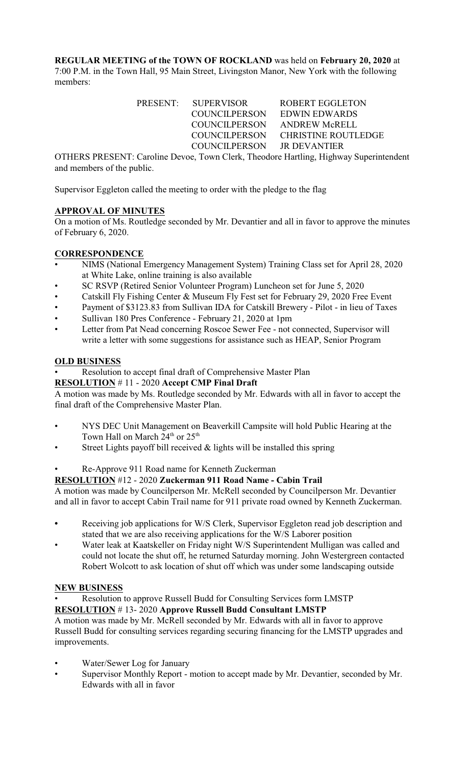**REGULAR MEETING of the TOWN OF ROCKLAND** was held on **February 20, 2020** at 7:00 P.M. in the Town Hall, 95 Main Street, Livingston Manor, New York with the following members:

> PRESENT: SUPERVISOR ROBERT EGGLETON COUNCILPERSON EDWIN EDWARDS COUNCILPERSON ANDREW McRELL COUNCILPERSON CHRISTINE ROUTLEDGE COUNCILPERSON JR DEVANTIER

OTHERS PRESENT: Caroline Devoe, Town Clerk, Theodore Hartling, Highway Superintendent and members of the public.

Supervisor Eggleton called the meeting to order with the pledge to the flag

## **APPROVAL OF MINUTES**

On a motion of Ms. Routledge seconded by Mr. Devantier and all in favor to approve the minutes of February 6, 2020.

### **CORRESPONDENCE**

- NIMS (National Emergency Management System) Training Class set for April 28, 2020 at White Lake, online training is also available
- SC RSVP (Retired Senior Volunteer Program) Luncheon set for June 5, 2020
- Catskill Fly Fishing Center & Museum Fly Fest set for February 29, 2020 Free Event
- Payment of \$3123.83 from Sullivan IDA for Catskill Brewery Pilot in lieu of Taxes
- Sullivan 180 Pres Conference February 21, 2020 at 1pm
- Letter from Pat Nead concerning Roscoe Sewer Fee not connected, Supervisor will write a letter with some suggestions for assistance such as HEAP, Senior Program

### **OLD BUSINESS**

Resolution to accept final draft of Comprehensive Master Plan

### **RESOLUTION** # 11 - 2020 **Accept CMP Final Draft**

A motion was made by Ms. Routledge seconded by Mr. Edwards with all in favor to accept the final draft of the Comprehensive Master Plan.

- NYS DEC Unit Management on Beaverkill Campsite will hold Public Hearing at the Town Hall on March 24<sup>th</sup> or 25<sup>th</sup>
- Street Lights payoff bill received & lights will be installed this spring
- Re-Approve 911 Road name for Kenneth Zuckerman

## **RESOLUTION** #12 - 2020 **Zuckerman 911 Road Name - Cabin Trail**

A motion was made by Councilperson Mr. McRell seconded by Councilperson Mr. Devantier and all in favor to accept Cabin Trail name for 911 private road owned by Kenneth Zuckerman.

- **•** Receiving job applications for W/S Clerk, Supervisor Eggleton read job description and stated that we are also receiving applications for the W/S Laborer position
- Water leak at Kaatskeller on Friday night W/S Superintendent Mulligan was called and could not locate the shut off, he returned Saturday morning. John Westergreen contacted Robert Wolcott to ask location of shut off which was under some landscaping outside

#### **NEW BUSINESS**

• Resolution to approve Russell Budd for Consulting Services form LMSTP **RESOLUTION** # 13- 2020 **Approve Russell Budd Consultant LMSTP**

A motion was made by Mr. McRell seconded by Mr. Edwards with all in favor to approve Russell Budd for consulting services regarding securing financing for the LMSTP upgrades and improvements.

- Water/Sewer Log for January
- Supervisor Monthly Report motion to accept made by Mr. Devantier, seconded by Mr. Edwards with all in favor